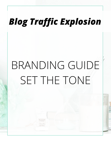# BRANDING GUIDE SET THE TONE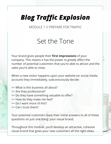MODULE 1 // PREPARE FOR TRAFFIC

#### Set the Tone

Your brand gives people their **first impressions** of your company. This means it has the power to *greatly* affect the number of potential customers that you're able to attract and the sales you're able to close.

When a new visitor happens upon your website (or social media account) they immediately, subconsciously decide:

- >> What is this business all about?
- >> Are they professional?
- >> Do they have something valuable to offer?
- >> How do they make me feel?
- >> Do I want more of this?
- >> Can I trust them?

Your potential customers base their initial answers to all of these questions on just one thing: your visual brand.

Throughout this module, you'll develop an attractive, cohesive visual brand that gives your new customers all the right vibes.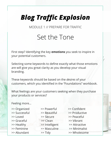MODULE 1 // PREPARE FOR TRAFFIC

#### Set the Tone

First step? Identifying the key **emotions** you seek to inspire in your potential customers.

Selecting some keywords to define exactly what those emotions are will give you great clarity as you develop your visual branding.

These keywords should be based on the *desires* of your customers, which you identified in the "Foundations" workbook.

What feelings are your customers seeking when they purchase your products or services?

Feeling more…

| >> Organized  | >> Powerful    | >> Confident  |
|---------------|----------------|---------------|
| >> Successful | >> Beautiful   | >> Productive |
| >> Loved      | >> Secure      | >> Peaceful   |
| >> Graceful   | >> Clean       | >> Vibrant    |
| >> Healthy    | >> Intelligent | >> Attractive |
| >> Feminine   | >> Masculine   | >> Minimalist |
| >> Abundant   | >> Tidy        | >> Wholesome  |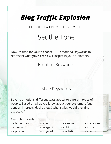MODULE 1 // PREPARE FOR TRAFFIC

### Set the Tone

Now it's time for you to choose 1 - 3 emotional keywords to represent what **your brand** will inspire in your customers.

Emotion Keywords

 $\mathcal{L} = \{ \mathcal{L} \mid \mathcal{L} \in \mathcal{L} \}$ 

#### Style Keywords

Beyond emotions, different *styles* appeal to different types of people. Based on what you know about your customers (age, gender, interests, desires, etc.) what styles would they find attractive?

Examples include:

- >> bohemian >> clean >> simple >> carefree
- 
- 

>> casual >> elegant >> chic >> cute

>> proper >> rugged >> artistic >> retro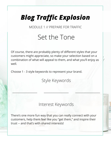MODULE 1 // PREPARE FOR TRAFFIC

### Set the Tone

Of course, there are probably plenty of different styles that your customers might appreciate, so make your selection based on a combination of what will appeal to them, and what you'll enjoy as well.

Choose 1 - 3 style keywords to represent your brand.

Style Keywords

 $\mathbb{R}$  . The set of the set of the set of the set of the set of the set of the set of the set of the set of the set of the set of the set of the set of the set of the set of the set of the set of the set of the set of t

#### Interest Keywords

There's one more fun way that you can really connect with your customers, help them feel like you "get them," and inspire their trust -- and that's with shared interests!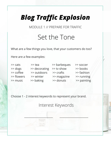MODULE 1 // PREPARE FOR TRAFFIC

### Set the Tone

What are a few things you love, that your customers do too?

Here are a few examples:

| $\gg$ cats | >> tea        | >> barbeques | >> soccer   |
|------------|---------------|--------------|-------------|
| $\gg$ dogs | >> decorating | >> tv show   | >> books    |
| >> coffee  | >> outdoors   | >> crafts    | >> fashion  |
| >> flowers | >> winter     | >> magazine  | >> running  |
| >> music   | >> baking     | >> donuts    | >> painting |

Choose 1 - 2 interest keywords to represent your brand.

Interest Keywords

 $\blacksquare$  . The  $\blacksquare$  . Also if  $\mathcal{U} \subset \mathcal{U}$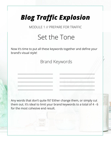MODULE 1 // PREPARE FOR TRAFFIC

### Set the Tone

Now it's time to put all these keywords together and define your brand's visual style!

#### Brand Keywords

\_\_\_\_\_\_\_\_\_\_\_\_\_\_\_\_\_\_\_\_\_\_\_\_\_\_\_ \_\_\_\_\_\_\_\_\_\_\_\_\_\_\_\_\_\_\_\_\_\_\_\_\_\_\_

\_\_\_\_\_\_\_\_\_\_\_\_\_\_\_\_\_\_\_\_\_\_\_\_\_\_\_ \_\_\_\_\_\_\_\_\_\_\_\_\_\_\_\_\_\_\_\_\_\_\_\_\_\_\_

\_\_\_\_\_\_\_\_\_\_\_\_\_\_\_\_\_\_\_\_\_\_\_\_\_\_\_ \_\_\_\_\_\_\_\_\_\_\_\_\_\_\_\_\_\_\_\_\_\_\_\_\_\_\_

 $_{\rm{1.44}~\rm{GHz}}$  , and the contract of  $_{\rm{1.44}~\rm{GHz}}$  , and the contract of  $_{\rm{1.44}~\rm{GHz}}$  , and the contract of  $_{\rm{1.44}~\rm{GHz}}$ 

\_\_\_\_\_\_\_\_\_\_\_\_\_\_\_\_\_\_\_\_\_\_\_\_\_\_\_ \_\_\_\_\_\_\_\_\_\_\_\_\_\_\_\_\_\_\_\_\_\_\_\_\_\_\_

Any words that don't quite fit? Either change them, or simply cut them out. It's ideal to limit your brand keywords to a total of 4 - 6 for the most cohesive end result.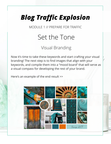MODULE 1 // PREPARE FOR TRAFFIC

### Set the Tone

#### Visual Branding

Now it's time to take these keywords and start crafting your visual branding! The next step is to find images that align with your keywords, and compile them into a "mood board" that will serve as a visual compass for developing the rest of your brand.

Here's an example of the end result >>

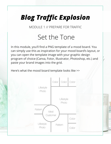MODULE 1 // PREPARE FOR TRAFFIC

### Set the Tone

In this module, you'll find a PNG template of a mood board. You can simply use this as inspiration for your mood board's layout, or you can open the template image with your graphic design program of choice (Canva, Fotor, Illustrator, Photoshop, etc.) and paste your brand images into the grid.

Here's what the mood board template looks like >>

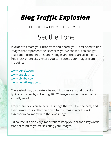MODULE 1 // PREPARE FOR TRAFFIC

### Set the Tone

In order to create your brand's mood board, you'll first need to find images that represent the keywords you've chosen. You can get inspiration from Pinterest and Google, and there are also plenty of free stock photo sites where you can source your images from, including:

[www.pexels.com](http://www.pexels.com) [www.unsplash.com](http://www.unsplash.com) [www.pixabay.com](http://www.pixabay.com) [www.negativespace.co](http://www.negativespace.co)

The easiest way to create a beautiful, cohesive mood board is typically to start by collecting 10 - 20 images -- way more than you actually need.

From there, you can select ONE image that you like the best, and then curate your collection down to the images which work together in harmony with that one image.

(Of course, it's also very important to keep your brand's keywords front of mind as you're selecting your images.)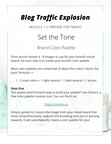MODULE 1 // PREPARE FOR TRAFFIC

### Set the Tone

#### Brand Color Palette

Once you've chosen 4 - 8 images to use for your brand's mood board, the next step is to create your brand's color palette.

Most color palettes are comprised of about five colors. Here's the basic formula >>

1 - 2 main colors + 1 light neutral + 1 dark neutral + 1 accent

#### **Step One**

The easiest (and funnest!) way to build your palette? Use Coolors, a free color palette creation tool. You can find it at:

#### <https://coolors.co>

Simply upload to Coolors the image from your mood board that most comprehensively captures the branding look you're working towards. It will automatically create a color palette for you!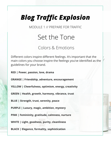MODULE 1 // PREPARE FOR TRAFFIC

### Set the Tone

#### Colors & Emotions

Different colors inspire different feelings. It's important that the main colors you choose inspire the feelings you've identified as the guidelines for your brand.

**RED | Power, passion, love, drama**

**ORANGE | Friendship, adventure, encouragement**

**YELLOW | Cheerfulness, optimism, energy, creativity**

**GREEN | Health, growth, harmony, vibrance, trust**

**BLUE | Strength, trust, serenity, peace**

**PURPLE | Luxury, magic, ambition, mystery**

**PINK | Femininity, gratitude, calmness, nurture**

**WHITE | Light, goodness, purity, cleanliness**

**BLACK | Elegance, formality, sophistication**